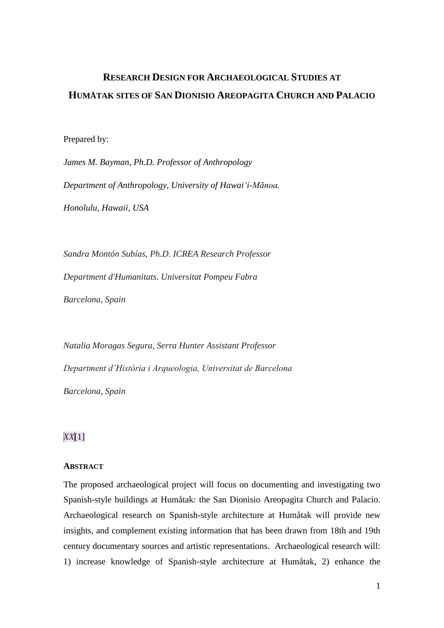# **RESEARCH DESIGN FOR ARCHAEOLOGICAL STUDIES AT HUMÅTAK SITES OF SAN DIONISIO AREOPAGITA CHURCH AND PALACIO**

Prepared by:

*James M. Bayman, Ph.D. Professor of Anthropology Department of Anthropology, University of Hawai'i-Mānoa, Honolulu, Hawaii, USA*

*Sandra Montón Subías, Ph.D. ICREA Research Professor Department d'Humanitats. Universitat Pompeu Fabra Barcelona, Spain*

*Natalia Moragas Segura, Serra Hunter Assistant Professor Department d'Història i Arqueologia, Universitat de Barcelona Barcelona, Spain* 

# *XX*[1]

#### **ABSTRACT**

The proposed archaeological project will focus on documenting and investigating two Spanish-style buildings at Humåtak: the San Dionisio Areopagita Church and Palacio. Archaeological research on Spanish-style architecture at Humåtak will provide new insights, and complement existing information that has been drawn from 18th and 19th century documentary sources and artistic representations. Archaeological research will: 1) increase knowledge of Spanish-style architecture at Humåtak, 2) enhance the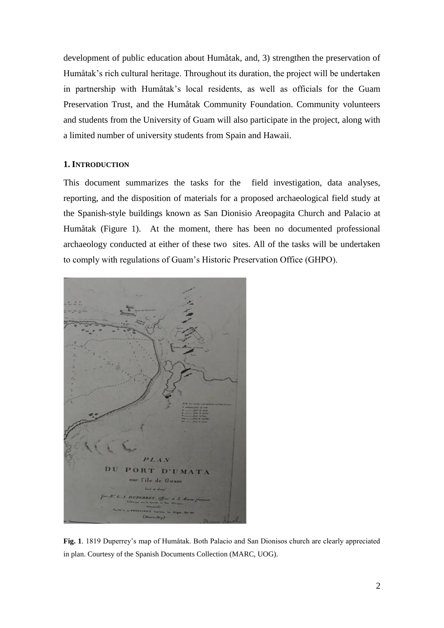development of public education about Humåtak, and, 3) strengthen the preservation of Humåtak's rich cultural heritage. Throughout its duration, the project will be undertaken in partnership with Humåtak's local residents, as well as officials for the Guam Preservation Trust, and the Humåtak Community Foundation. Community volunteers and students from the University of Guam will also participate in the project, along with a limited number of university students from Spain and Hawaii.

# **1. INTRODUCTION**

This document summarizes the tasks for the field investigation, data analyses, reporting, and the disposition of materials for a proposed archaeological field study at the Spanish-style buildings known as San Dionisio Areopagita Church and Palacio at Humåtak (Figure 1). At the moment, there has been no documented professional archaeology conducted at either of these two sites. All of the tasks will be undertaken to comply with regulations of Guam's Historic Preservation Office (GHPO).



**Fig. 1**. 1819 Duperrey's map of Humåtak. Both Palacio and San Dionisos church are clearly appreciated in plan. Courtesy of the Spanish Documents Collection (MARC, UOG).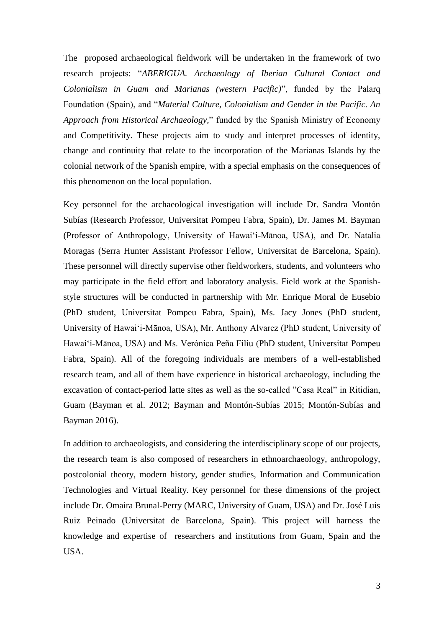The proposed archaeological fieldwork will be undertaken in the framework of two research projects: "*ABERIGUA. Archaeology of Iberian Cultural Contact and Colonialism in Guam and Marianas (western Pacific)*", funded by the Palarq Foundation (Spain), and "*Material Culture, Colonialism and Gender in the Pacific. An Approach from Historical Archaeology,*" funded by the Spanish Ministry of Economy and Competitivity. These projects aim to study and interpret processes of identity, change and continuity that relate to the incorporation of the Marianas Islands by the colonial network of the Spanish empire, with a special emphasis on the consequences of this phenomenon on the local population.

Key personnel for the archaeological investigation will include Dr. Sandra Montón Subías (Research Professor, Universitat Pompeu Fabra, Spain), Dr. James M. Bayman (Professor of Anthropology, University of Hawai'i-Mānoa, USA), and Dr. Natalia Moragas (Serra Hunter Assistant Professor Fellow, Universitat de Barcelona, Spain). These personnel will directly supervise other fieldworkers, students, and volunteers who may participate in the field effort and laboratory analysis. Field work at the Spanishstyle structures will be conducted in partnership with Mr. Enrique Moral de Eusebio (PhD student, Universitat Pompeu Fabra, Spain), Ms. Jacy Jones (PhD student, University of Hawai'i-Mānoa, USA), Mr. Anthony Alvarez (PhD student, University of Hawai'i-Mānoa, USA) and Ms. Verónica Peña Filiu (PhD student, Universitat Pompeu Fabra, Spain). All of the foregoing individuals are members of a well-established research team, and all of them have experience in historical archaeology, including the excavation of contact-period latte sites as well as the so-called "Casa Real" in Ritidian, Guam (Bayman et al. 2012; Bayman and Montón-Subías 2015; Montón-Subías and Bayman 2016).

In addition to archaeologists, and considering the interdisciplinary scope of our projects, the research team is also composed of researchers in ethnoarchaeology, anthropology, postcolonial theory, modern history, gender studies, Information and Communication Technologies and Virtual Reality. Key personnel for these dimensions of the project include Dr. Omaira Brunal-Perry (MARC, University of Guam, USA) and Dr. José Luis Ruiz Peinado (Universitat de Barcelona, Spain). This project will harness the knowledge and expertise of researchers and institutions from Guam, Spain and the USA.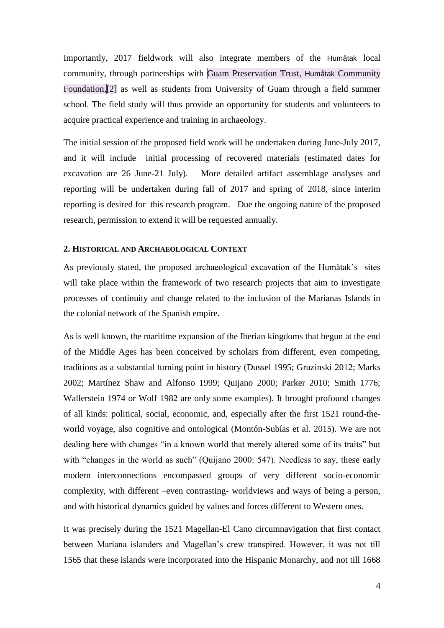Importantly, 2017 fieldwork will also integrate members of the Humåtak local community, through partnerships with Guam Preservation Trust, Humåtak Community Foundation,[2] as well as students from University of Guam through a field summer school. The field study will thus provide an opportunity for students and volunteers to acquire practical experience and training in archaeology.

The initial session of the proposed field work will be undertaken during June-July 2017, and it will include initial processing of recovered materials (estimated dates for excavation are 26 June-21 July). More detailed artifact assemblage analyses and reporting will be undertaken during fall of 2017 and spring of 2018, since interim reporting is desired for this research program. Due the ongoing nature of the proposed research, permission to extend it will be requested annually.

#### **2. HISTORICAL AND ARCHAEOLOGICAL CONTEXT**

As previously stated, the proposed archaeological excavation of the Humåtak's sites will take place within the framework of two research projects that aim to investigate processes of continuity and change related to the inclusion of the Marianas Islands in the colonial network of the Spanish empire.

As is well known, the maritime expansion of the Iberian kingdoms that begun at the end of the Middle Ages has been conceived by scholars from different, even competing, traditions as a substantial turning point in history (Dussel 1995; Gruzinski 2012; Marks 2002; Martínez Shaw and Alfonso 1999; Quijano 2000; Parker 2010; Smith 1776; Wallerstein 1974 or Wolf 1982 are only some examples). It brought profound changes of all kinds: political, social, economic, and, especially after the first 1521 round-theworld voyage, also cognitive and ontological (Montón-Subías et al. 2015). We are not dealing here with changes "in a known world that merely altered some of its traits" but with "changes in the world as such" (Quijano 2000: 547). Needless to say, these early modern interconnections encompassed groups of very different socio-economic complexity, with different –even contrasting- worldviews and ways of being a person, and with historical dynamics guided by values and forces different to Western ones.

It was precisely during the 1521 Magellan-El Cano circumnavigation that first contact between Mariana islanders and Magellan's crew transpired. However, it was not till 1565 that these islands were incorporated into the Hispanic Monarchy, and not till 1668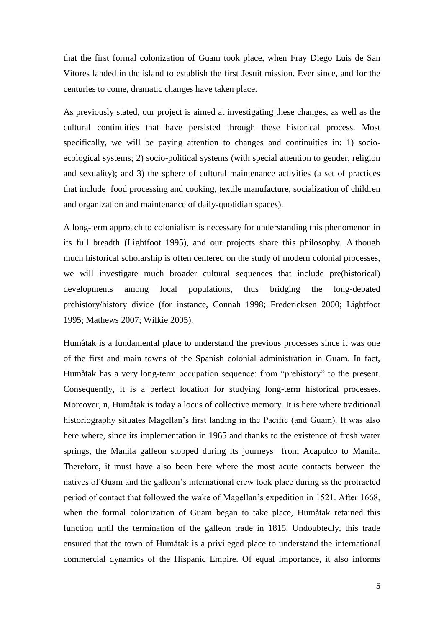that the first formal colonization of Guam took place, when Fray Diego Luis de San Vitores landed in the island to establish the first Jesuit mission. Ever since, and for the centuries to come, dramatic changes have taken place.

As previously stated, our project is aimed at investigating these changes, as well as the cultural continuities that have persisted through these historical process. Most specifically, we will be paying attention to changes and continuities in: 1) socioecological systems; 2) socio-political systems (with special attention to gender, religion and sexuality); and 3) the sphere of cultural maintenance activities (a set of practices that include food processing and cooking, textile manufacture, socialization of children and organization and maintenance of daily-quotidian spaces).

A long-term approach to colonialism is necessary for understanding this phenomenon in its full breadth (Lightfoot 1995), and our projects share this philosophy. Although much historical scholarship is often centered on the study of modern colonial processes, we will investigate much broader cultural sequences that include pre(historical) developments among local populations, thus bridging the long-debated prehistory/history divide (for instance, Connah 1998; Fredericksen 2000; Lightfoot 1995; Mathews 2007; Wilkie 2005).

Humåtak is a fundamental place to understand the previous processes since it was one of the first and main towns of the Spanish colonial administration in Guam. In fact, Humåtak has a very long-term occupation sequence: from "prehistory" to the present. Consequently, it is a perfect location for studying long-term historical processes. Moreover, n, Humåtak is today a locus of collective memory. It is here where traditional historiography situates Magellan's first landing in the Pacific (and Guam). It was also here where, since its implementation in 1965 and thanks to the existence of fresh water springs, the Manila galleon stopped during its journeys from Acapulco to Manila. Therefore, it must have also been here where the most acute contacts between the natives of Guam and the galleon's international crew took place during ss the protracted period of contact that followed the wake of Magellan's expedition in 1521. After 1668, when the formal colonization of Guam began to take place, Humåtak retained this function until the termination of the galleon trade in 1815. Undoubtedly, this trade ensured that the town of Humåtak is a privileged place to understand the international commercial dynamics of the Hispanic Empire. Of equal importance, it also informs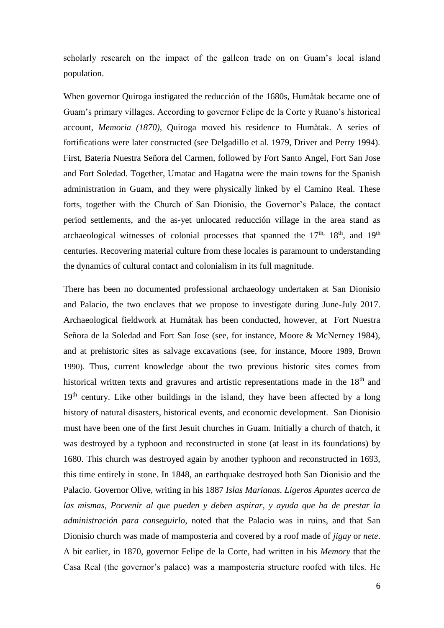scholarly research on the impact of the galleon trade on on Guam's local island population.

When governor Quiroga instigated the reducción of the 1680s, Humåtak became one of Guam's primary villages. According to governor Felipe de la Corte y Ruano's historical account, *Memoria (1870)*, Quiroga moved his residence to Humåtak. A series of fortifications were later constructed (see Delgadillo et al. 1979, Driver and Perry 1994). First, Bateria Nuestra Señora del Carmen, followed by Fort Santo Angel, Fort San Jose and Fort Soledad. Together, Umatac and Hagatna were the main towns for the Spanish administration in Guam, and they were physically linked by el Camino Real. These forts, together with the Church of San Dionisio, the Governor's Palace, the contact period settlements, and the as-yet unlocated reducción village in the area stand as archaeological witnesses of colonial processes that spanned the  $17<sup>th</sup>$ ,  $18<sup>th</sup>$ , and  $19<sup>th</sup>$ centuries. Recovering material culture from these locales is paramount to understanding the dynamics of cultural contact and colonialism in its full magnitude.

There has been no documented professional archaeology undertaken at San Dionisio and Palacio, the two enclaves that we propose to investigate during June-July 2017. Archaeological fieldwork at Humåtak has been conducted, however, at Fort Nuestra Señora de la Soledad and Fort San Jose (see, for instance, Moore & McNerney 1984), and at prehistoric sites as salvage excavations (see, for instance, Moore 1989, Brown 1990). Thus, current knowledge about the two previous historic sites comes from historical written texts and gravures and artistic representations made in the  $18<sup>th</sup>$  and  $19<sup>th</sup>$  century. Like other buildings in the island, they have been affected by a long history of natural disasters, historical events, and economic development. San Dionisio must have been one of the first Jesuit churches in Guam. Initially a church of thatch, it was destroyed by a typhoon and reconstructed in stone (at least in its foundations) by 1680. This church was destroyed again by another typhoon and reconstructed in 1693, this time entirely in stone. In 1848, an earthquake destroyed both San Dionisio and the Palacio. Governor Olive, writing in his 1887 *Islas Marianas. Ligeros Apuntes acerca de las mismas, Porvenir al que pueden y deben aspirar, y ayuda que ha de prestar la administración para conseguirlo*, noted that the Palacio was in ruins, and that San Dionisio church was made of mamposteria and covered by a roof made of *jigay* or *nete*. A bit earlier, in 1870, governor Felipe de la Corte, had written in his *Memory* that the Casa Real (the governor's palace) was a mamposteria structure roofed with tiles. He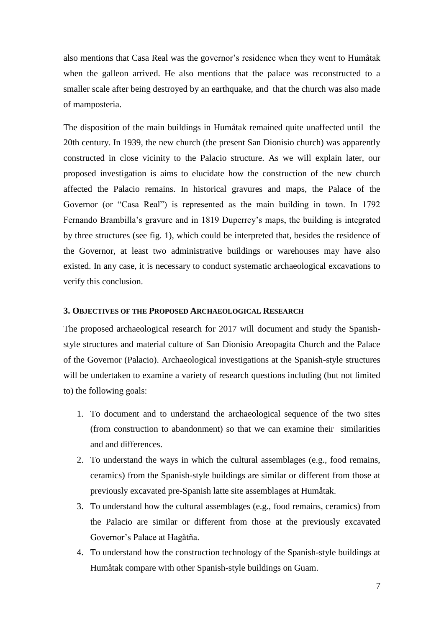also mentions that Casa Real was the governor's residence when they went to Humåtak when the galleon arrived. He also mentions that the palace was reconstructed to a smaller scale after being destroyed by an earthquake, and that the church was also made of mamposteria.

The disposition of the main buildings in Humåtak remained quite unaffected until the 20th century. In 1939, the new church (the present San Dionisio church) was apparently constructed in close vicinity to the Palacio structure. As we will explain later, our proposed investigation is aims to elucidate how the construction of the new church affected the Palacio remains. In historical gravures and maps, the Palace of the Governor (or "Casa Real") is represented as the main building in town. In 1792 Fernando Brambilla's gravure and in 1819 Duperrey's maps, the building is integrated by three structures (see fig. 1), which could be interpreted that, besides the residence of the Governor, at least two administrative buildings or warehouses may have also existed. In any case, it is necessary to conduct systematic archaeological excavations to verify this conclusion.

# **3. OBJECTIVES OF THE PROPOSED ARCHAEOLOGICAL RESEARCH**

The proposed archaeological research for 2017 will document and study the Spanishstyle structures and material culture of San Dionisio Areopagita Church and the Palace of the Governor (Palacio). Archaeological investigations at the Spanish-style structures will be undertaken to examine a variety of research questions including (but not limited to) the following goals:

- 1. To document and to understand the archaeological sequence of the two sites (from construction to abandonment) so that we can examine their similarities and and differences.
- 2. To understand the ways in which the cultural assemblages (e.g., food remains, ceramics) from the Spanish-style buildings are similar or different from those at previously excavated pre-Spanish latte site assemblages at Humåtak.
- 3. To understand how the cultural assemblages (e.g., food remains, ceramics) from the Palacio are similar or different from those at the previously excavated Governor's Palace at Hagåtña.
- 4. To understand how the construction technology of the Spanish-style buildings at Humåtak compare with other Spanish-style buildings on Guam.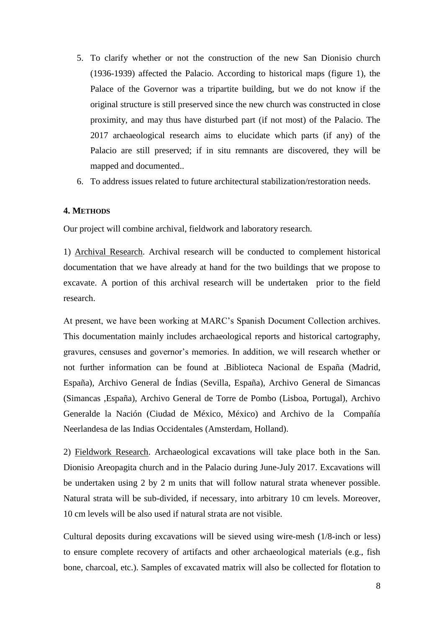- 5. To clarify whether or not the construction of the new San Dionisio church (1936-1939) affected the Palacio. According to historical maps (figure 1), the Palace of the Governor was a tripartite building, but we do not know if the original structure is still preserved since the new church was constructed in close proximity, and may thus have disturbed part (if not most) of the Palacio. The 2017 archaeological research aims to elucidate which parts (if any) of the Palacio are still preserved; if in situ remnants are discovered, they will be mapped and documented..
- 6. To address issues related to future architectural stabilization/restoration needs.

## **4. METHODS**

Our project will combine archival, fieldwork and laboratory research.

1) Archival Research. Archival research will be conducted to complement historical documentation that we have already at hand for the two buildings that we propose to excavate. A portion of this archival research will be undertaken prior to the field research.

At present, we have been working at MARC's Spanish Document Collection archives. This documentation mainly includes archaeological reports and historical cartography, gravures, censuses and governor's memories. In addition, we will research whether or not further information can be found at .Biblioteca Nacional de España (Madrid, España), Archivo General de Índias (Sevilla, España), Archivo General de Simancas (Simancas ,España), Archivo General de Torre de Pombo (Lisboa, Portugal), Archivo Generalde la Nación (Ciudad de México, México) and Archivo de la Compañía Neerlandesa de las Indias Occidentales (Amsterdam, Holland).

2) Fieldwork Research. Archaeological excavations will take place both in the San. Dionisio Areopagita church and in the Palacio during June-July 2017. Excavations will be undertaken using 2 by 2 m units that will follow natural strata whenever possible. Natural strata will be sub-divided, if necessary, into arbitrary 10 cm levels. Moreover, 10 cm levels will be also used if natural strata are not visible.

Cultural deposits during excavations will be sieved using wire-mesh (1/8-inch or less) to ensure complete recovery of artifacts and other archaeological materials (e.g., fish bone, charcoal, etc.). Samples of excavated matrix will also be collected for flotation to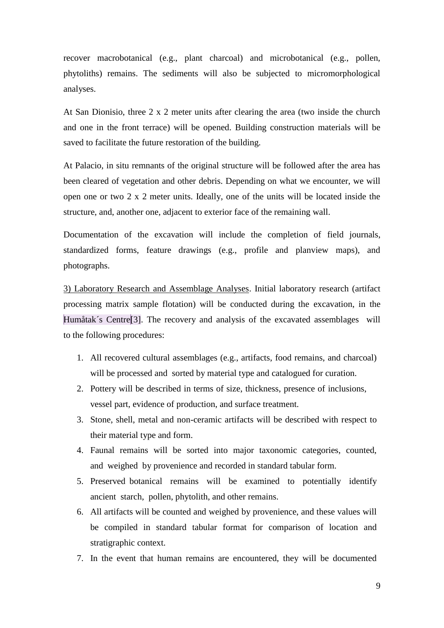recover macrobotanical (e.g., plant charcoal) and microbotanical (e.g., pollen, phytoliths) remains. The sediments will also be subjected to micromorphological analyses.

At San Dionisio, three 2 x 2 meter units after clearing the area (two inside the church and one in the front terrace) will be opened. Building construction materials will be saved to facilitate the future restoration of the building.

At Palacio, in situ remnants of the original structure will be followed after the area has been cleared of vegetation and other debris. Depending on what we encounter, we will open one or two 2 x 2 meter units. Ideally, one of the units will be located inside the structure, and, another one, adjacent to exterior face of the remaining wall.

Documentation of the excavation will include the completion of field journals, standardized forms, feature drawings (e.g., profile and planview maps), and photographs.

3) Laboratory Research and Assemblage Analyses. Initial laboratory research (artifact processing matrix sample flotation) will be conducted during the excavation, in the Humåtak's Centre<sup>[3]</sup>. The recovery and analysis of the excavated assemblages will to the following procedures:

- 1. All recovered cultural assemblages (e.g., artifacts, food remains, and charcoal) will be processed and sorted by material type and catalogued for curation.
- 2. Pottery will be described in terms of size, thickness, presence of inclusions, vessel part, evidence of production, and surface treatment.
- 3. Stone, shell, metal and non-ceramic artifacts will be described with respect to their material type and form.
- 4. Faunal remains will be sorted into major taxonomic categories, counted, and weighed by provenience and recorded in standard tabular form.
- 5. Preserved botanical remains will be examined to potentially identify ancient starch, pollen, phytolith, and other remains.
- 6. All artifacts will be counted and weighed by provenience, and these values will be compiled in standard tabular format for comparison of location and stratigraphic context.
- 7. In the event that human remains are encountered, they will be documented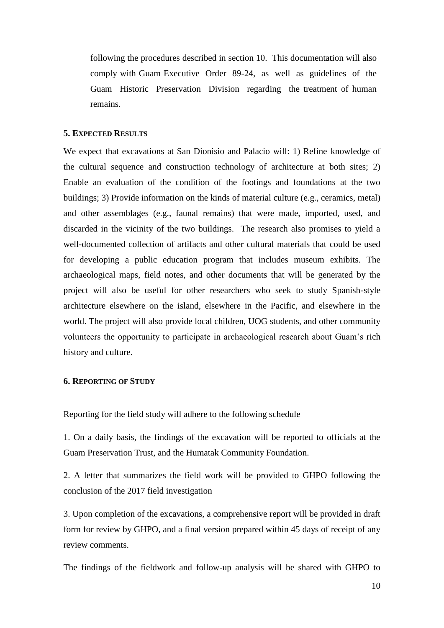following the procedures described in section 10. This documentation will also comply with Guam Executive Order 89-24, as well as guidelines of the Guam Historic Preservation Division regarding the treatment of human remains.

#### **5. EXPECTED RESULTS**

We expect that excavations at San Dionisio and Palacio will: 1) Refine knowledge of the cultural sequence and construction technology of architecture at both sites; 2) Enable an evaluation of the condition of the footings and foundations at the two buildings; 3) Provide information on the kinds of material culture (e.g., ceramics, metal) and other assemblages (e.g., faunal remains) that were made, imported, used, and discarded in the vicinity of the two buildings. The research also promises to yield a well-documented collection of artifacts and other cultural materials that could be used for developing a public education program that includes museum exhibits. The archaeological maps, field notes, and other documents that will be generated by the project will also be useful for other researchers who seek to study Spanish-style architecture elsewhere on the island, elsewhere in the Pacific, and elsewhere in the world. The project will also provide local children, UOG students, and other community volunteers the opportunity to participate in archaeological research about Guam's rich history and culture.

## **6. REPORTING OF STUDY**

Reporting for the field study will adhere to the following schedule

1. On a daily basis, the findings of the excavation will be reported to officials at the Guam Preservation Trust, and the Humatak Community Foundation.

2. A letter that summarizes the field work will be provided to GHPO following the conclusion of the 2017 field investigation

3. Upon completion of the excavations, a comprehensive report will be provided in draft form for review by GHPO, and a final version prepared within 45 days of receipt of any review comments.

The findings of the fieldwork and follow-up analysis will be shared with GHPO to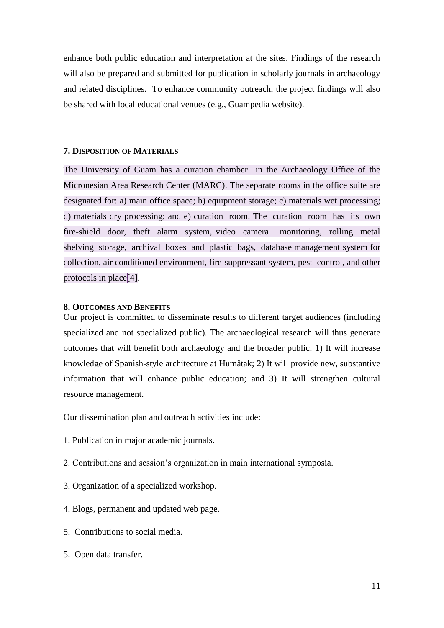enhance both public education and interpretation at the sites. Findings of the research will also be prepared and submitted for publication in scholarly journals in archaeology and related disciplines. To enhance community outreach, the project findings will also be shared with local educational venues (e.g., Guampedia website).

#### **7. DISPOSITION OF MATERIALS**

The University of Guam has a curation chamber in the Archaeology Office of the Micronesian Area Research Center (MARC). The separate rooms in the office suite are designated for: a) main office space; b) equipment storage; c) materials wet processing; d) materials dry processing; and e) curation room. The curation room has its own fire-shield door, theft alarm system, video camera monitoring, rolling metal shelving storage, archival boxes and plastic bags, database management system for collection, air conditioned environment, fire-suppressant system, pest control, and other protocols in place[4].

## **8. OUTCOMES AND BENEFITS**

Our project is committed to disseminate results to different target audiences (including specialized and not specialized public). The archaeological research will thus generate outcomes that will benefit both archaeology and the broader public: 1) It will increase knowledge of Spanish-style architecture at Humåtak; 2) It will provide new, substantive information that will enhance public education; and 3) It will strengthen cultural resource management.

Our dissemination plan and outreach activities include:

- 1. Publication in major academic journals.
- 2. Contributions and session's organization in main international symposia.
- 3. Organization of a specialized workshop.
- 4. Blogs, permanent and updated web page.
- 5. Contributions to social media.
- 5. Open data transfer.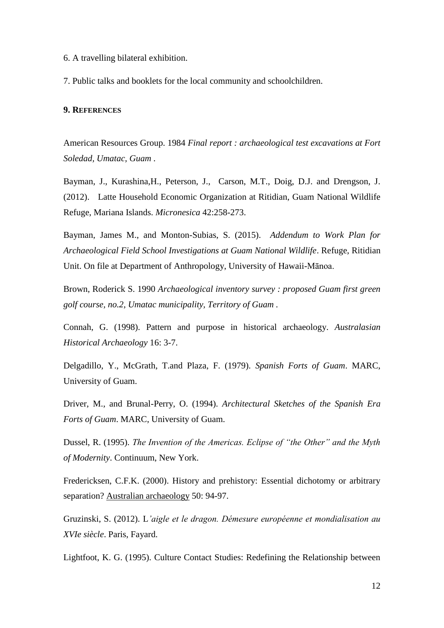- 6. A travelling bilateral exhibition.
- 7. Public talks and booklets for the local community and schoolchildren.

# **9. REFERENCES**

American Resources Group. 1984 *Final report : archaeological test excavations at Fort Soledad, Umatac, Guam .*

Bayman, J., Kurashina,H., Peterson, J., Carson, M.T., Doig, D.J. and Drengson, J. (2012). Latte Household Economic Organization at Ritidian, Guam National Wildlife Refuge, Mariana Islands. *Micronesica* 42:258-273.

Bayman, James M., and Monton-Subias, S. (2015). *Addendum to Work Plan for Archaeological Field School Investigations at Guam National Wildlife*. Refuge, Ritidian Unit. On file at Department of Anthropology, University of Hawaii-Mānoa.

Brown, Roderick S. 1990 *Archaeological inventory survey : proposed Guam first green golf course, no.2, Umatac municipality, Territory of Guam .*

Connah, G. (1998). Pattern and purpose in historical archaeology. *Australasian Historical Archaeology* 16: 3-7.

Delgadillo, Y., McGrath, T.and Plaza, F. (1979). *Spanish Forts of Guam*. MARC, University of Guam.

Driver, M., and Brunal-Perry, O. (1994). *Architectural Sketches of the Spanish Era Forts of Guam*. MARC, University of Guam.

Dussel, R. (1995). *The Invention of the Americas. Eclipse of "the Other" and the Myth of Modernity*. Continuum, New York.

Fredericksen, C.F.K. (2000). History and prehistory: Essential dichotomy or arbitrary separation? Australian archaeology 50: 94-97.

Gruzinski, S. (2012). L*'aigle et le dragon. Démesure européenne et mondialisation au XVIe siècle*. Paris, Fayard.

Lightfoot, K. G. (1995). Culture Contact Studies: Redefining the Relationship between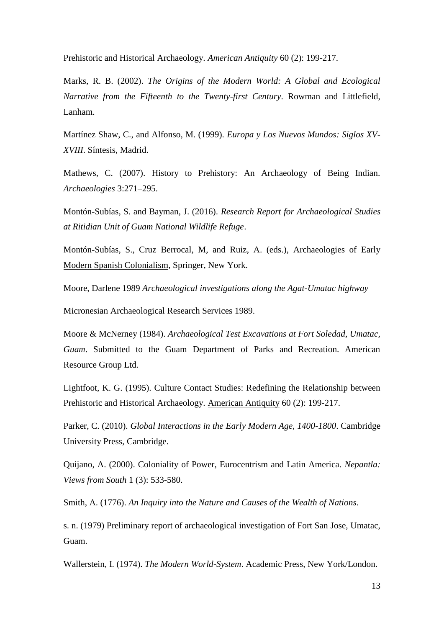Prehistoric and Historical Archaeology. *American Antiquity* 60 (2): 199-217.

Marks, R. B. (2002). *The Origins of the Modern World: A Global and Ecological Narrative from the Fifteenth to the Twenty-first Century*. Rowman and Littlefield, Lanham.

Martínez Shaw, C., and Alfonso, M. (1999). *Europa y Los Nuevos Mundos: Siglos XV-XVIII*. Síntesis, Madrid.

Mathews, C. (2007). History to Prehistory: An Archaeology of Being Indian. *Archaeologies* 3:271–295.

Montón-Subías, S. and Bayman, J. (2016). *Research Report for Archaeological Studies at Ritidian Unit of Guam National Wildlife Refuge*.

Montón-Subías, S., Cruz Berrocal, M, and Ruiz, A. (eds.), Archaeologies of Early Modern Spanish Colonialism, Springer, New York.

Moore, Darlene 1989 *Archaeological investigations along the Agat-Umatac highway*

Micronesian Archaeological Research Services 1989.

Moore & McNerney (1984). *Archaeological Test Excavations at Fort Soledad, Umatac, Guam*. Submitted to the Guam Department of Parks and Recreation. American Resource Group Ltd.

Lightfoot, K. G. (1995). Culture Contact Studies: Redefining the Relationship between Prehistoric and Historical Archaeology. American Antiquity 60 (2): 199-217.

Parker, C. (2010). *Global Interactions in the Early Modern Age, 1400-1800*. Cambridge University Press, Cambridge.

Quijano, A. (2000). Coloniality of Power, Eurocentrism and Latin America. *Nepantla: Views from South* 1 (3): 533-580.

Smith, A. (1776). *An Inquiry into the Nature and Causes of the Wealth of Nations*.

s. n. (1979) Preliminary report of archaeological investigation of Fort San Jose, Umatac, Guam.

Wallerstein, I. (1974). *The Modern World-System*. Academic Press, New York/London.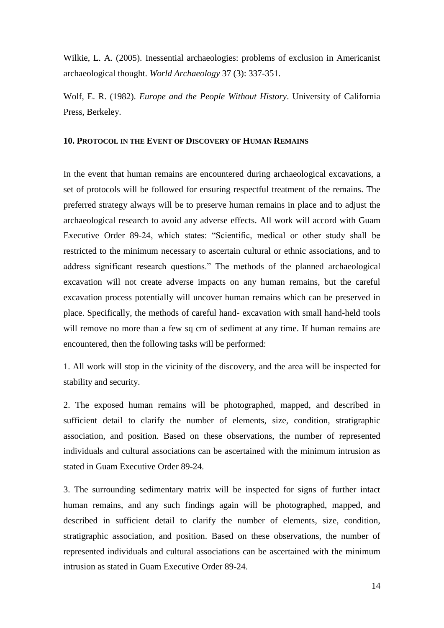Wilkie, L. A. (2005). Inessential archaeologies: problems of exclusion in Americanist archaeological thought. *World Archaeology* 37 (3): 337-351.

Wolf, E. R. (1982). *Europe and the People Without History*. University of California Press, Berkeley.

#### **10. PROTOCOL IN THE EVENT OF DISCOVERY OF HUMAN REMAINS**

In the event that human remains are encountered during archaeological excavations, a set of protocols will be followed for ensuring respectful treatment of the remains. The preferred strategy always will be to preserve human remains in place and to adjust the archaeological research to avoid any adverse effects. All work will accord with Guam Executive Order 89-24, which states: "Scientific, medical or other study shall be restricted to the minimum necessary to ascertain cultural or ethnic associations, and to address significant research questions." The methods of the planned archaeological excavation will not create adverse impacts on any human remains, but the careful excavation process potentially will uncover human remains which can be preserved in place. Specifically, the methods of careful hand- excavation with small hand-held tools will remove no more than a few sq cm of sediment at any time. If human remains are encountered, then the following tasks will be performed:

1. All work will stop in the vicinity of the discovery, and the area will be inspected for stability and security.

2. The exposed human remains will be photographed, mapped, and described in sufficient detail to clarify the number of elements, size, condition, stratigraphic association, and position. Based on these observations, the number of represented individuals and cultural associations can be ascertained with the minimum intrusion as stated in Guam Executive Order 89-24.

3. The surrounding sedimentary matrix will be inspected for signs of further intact human remains, and any such findings again will be photographed, mapped, and described in sufficient detail to clarify the number of elements, size, condition, stratigraphic association, and position. Based on these observations, the number of represented individuals and cultural associations can be ascertained with the minimum intrusion as stated in Guam Executive Order 89-24.